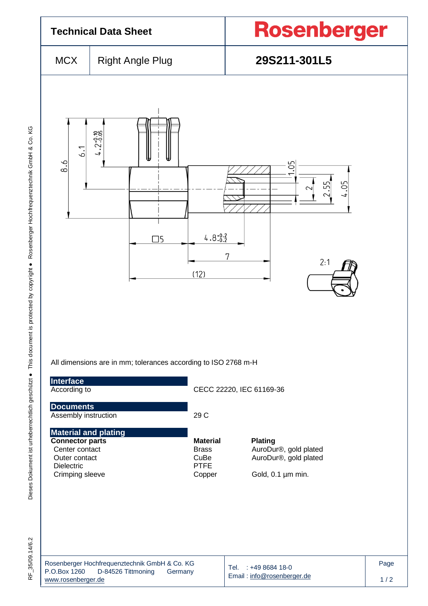